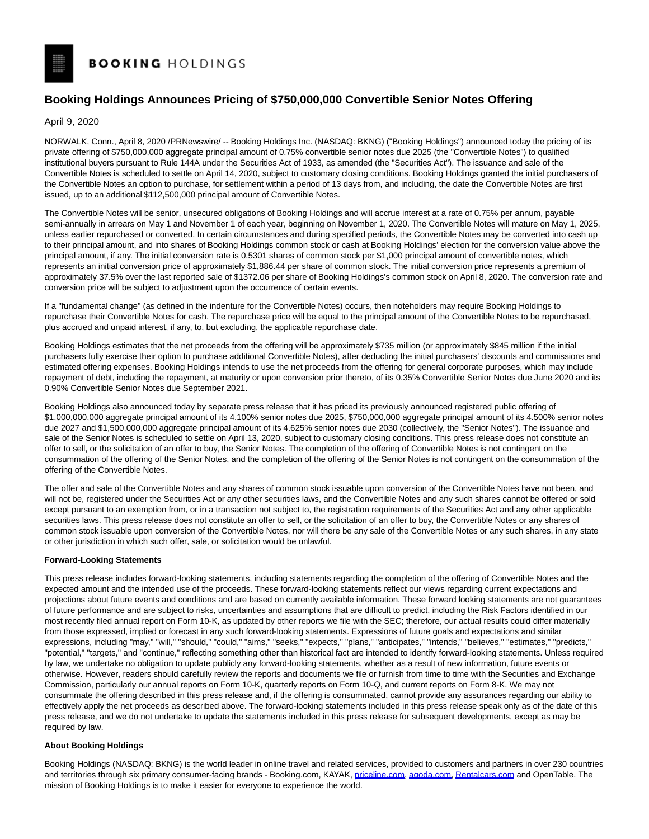## **Booking Holdings Announces Pricing of \$750,000,000 Convertible Senior Notes Offering**

## April 9, 2020

NORWALK, Conn., April 8, 2020 /PRNewswire/ -- Booking Holdings Inc. (NASDAQ: BKNG) ("Booking Holdings") announced today the pricing of its private offering of \$750,000,000 aggregate principal amount of 0.75% convertible senior notes due 2025 (the "Convertible Notes") to qualified institutional buyers pursuant to Rule 144A under the Securities Act of 1933, as amended (the "Securities Act"). The issuance and sale of the Convertible Notes is scheduled to settle on April 14, 2020, subject to customary closing conditions. Booking Holdings granted the initial purchasers of the Convertible Notes an option to purchase, for settlement within a period of 13 days from, and including, the date the Convertible Notes are first issued, up to an additional \$112,500,000 principal amount of Convertible Notes.

The Convertible Notes will be senior, unsecured obligations of Booking Holdings and will accrue interest at a rate of 0.75% per annum, payable semi-annually in arrears on May 1 and November 1 of each year, beginning on November 1, 2020. The Convertible Notes will mature on May 1, 2025, unless earlier repurchased or converted. In certain circumstances and during specified periods, the Convertible Notes may be converted into cash up to their principal amount, and into shares of Booking Holdings common stock or cash at Booking Holdings' election for the conversion value above the principal amount, if any. The initial conversion rate is 0.5301 shares of common stock per \$1,000 principal amount of convertible notes, which represents an initial conversion price of approximately \$1,886.44 per share of common stock. The initial conversion price represents a premium of approximately 37.5% over the last reported sale of \$1372.06 per share of Booking Holdings's common stock on April 8, 2020. The conversion rate and conversion price will be subject to adjustment upon the occurrence of certain events.

If a "fundamental change" (as defined in the indenture for the Convertible Notes) occurs, then noteholders may require Booking Holdings to repurchase their Convertible Notes for cash. The repurchase price will be equal to the principal amount of the Convertible Notes to be repurchased, plus accrued and unpaid interest, if any, to, but excluding, the applicable repurchase date.

Booking Holdings estimates that the net proceeds from the offering will be approximately \$735 million (or approximately \$845 million if the initial purchasers fully exercise their option to purchase additional Convertible Notes), after deducting the initial purchasers' discounts and commissions and estimated offering expenses. Booking Holdings intends to use the net proceeds from the offering for general corporate purposes, which may include repayment of debt, including the repayment, at maturity or upon conversion prior thereto, of its 0.35% Convertible Senior Notes due June 2020 and its 0.90% Convertible Senior Notes due September 2021.

Booking Holdings also announced today by separate press release that it has priced its previously announced registered public offering of \$1,000,000,000 aggregate principal amount of its 4.100% senior notes due 2025, \$750,000,000 aggregate principal amount of its 4.500% senior notes due 2027 and \$1,500,000,000 aggregate principal amount of its 4.625% senior notes due 2030 (collectively, the "Senior Notes"). The issuance and sale of the Senior Notes is scheduled to settle on April 13, 2020, subject to customary closing conditions. This press release does not constitute an offer to sell, or the solicitation of an offer to buy, the Senior Notes. The completion of the offering of Convertible Notes is not contingent on the consummation of the offering of the Senior Notes, and the completion of the offering of the Senior Notes is not contingent on the consummation of the offering of the Convertible Notes.

The offer and sale of the Convertible Notes and any shares of common stock issuable upon conversion of the Convertible Notes have not been, and will not be, registered under the Securities Act or any other securities laws, and the Convertible Notes and any such shares cannot be offered or sold except pursuant to an exemption from, or in a transaction not subject to, the registration requirements of the Securities Act and any other applicable securities laws. This press release does not constitute an offer to sell, or the solicitation of an offer to buy, the Convertible Notes or any shares of common stock issuable upon conversion of the Convertible Notes, nor will there be any sale of the Convertible Notes or any such shares, in any state or other jurisdiction in which such offer, sale, or solicitation would be unlawful.

## **Forward-Looking Statements**

This press release includes forward-looking statements, including statements regarding the completion of the offering of Convertible Notes and the expected amount and the intended use of the proceeds. These forward-looking statements reflect our views regarding current expectations and projections about future events and conditions and are based on currently available information. These forward looking statements are not guarantees of future performance and are subject to risks, uncertainties and assumptions that are difficult to predict, including the Risk Factors identified in our most recently filed annual report on Form 10-K, as updated by other reports we file with the SEC; therefore, our actual results could differ materially from those expressed, implied or forecast in any such forward-looking statements. Expressions of future goals and expectations and similar expressions, including "may," "will," "should," "could," "aims," "seeks," "expects," "plans," "anticipates," "intends," "believes," "estimates," "predicts," "potential," "targets," and "continue," reflecting something other than historical fact are intended to identify forward-looking statements. Unless required by law, we undertake no obligation to update publicly any forward-looking statements, whether as a result of new information, future events or otherwise. However, readers should carefully review the reports and documents we file or furnish from time to time with the Securities and Exchange Commission, particularly our annual reports on Form 10-K, quarterly reports on Form 10-Q, and current reports on Form 8-K. We may not consummate the offering described in this press release and, if the offering is consummated, cannot provide any assurances regarding our ability to effectively apply the net proceeds as described above. The forward-looking statements included in this press release speak only as of the date of this press release, and we do not undertake to update the statements included in this press release for subsequent developments, except as may be required by law.

## **About Booking Holdings**

Booking Holdings (NASDAQ: BKNG) is the world leader in online travel and related services, provided to customers and partners in over 230 countries and territories through six primary consumer-facing brands - Booking.com, KAYAK, [priceline.com,](http://priceline.com/) [agoda.com,](http://agoda.com/) [Rentalcars.com a](http://rentalcars.com/)nd OpenTable. The mission of Booking Holdings is to make it easier for everyone to experience the world.